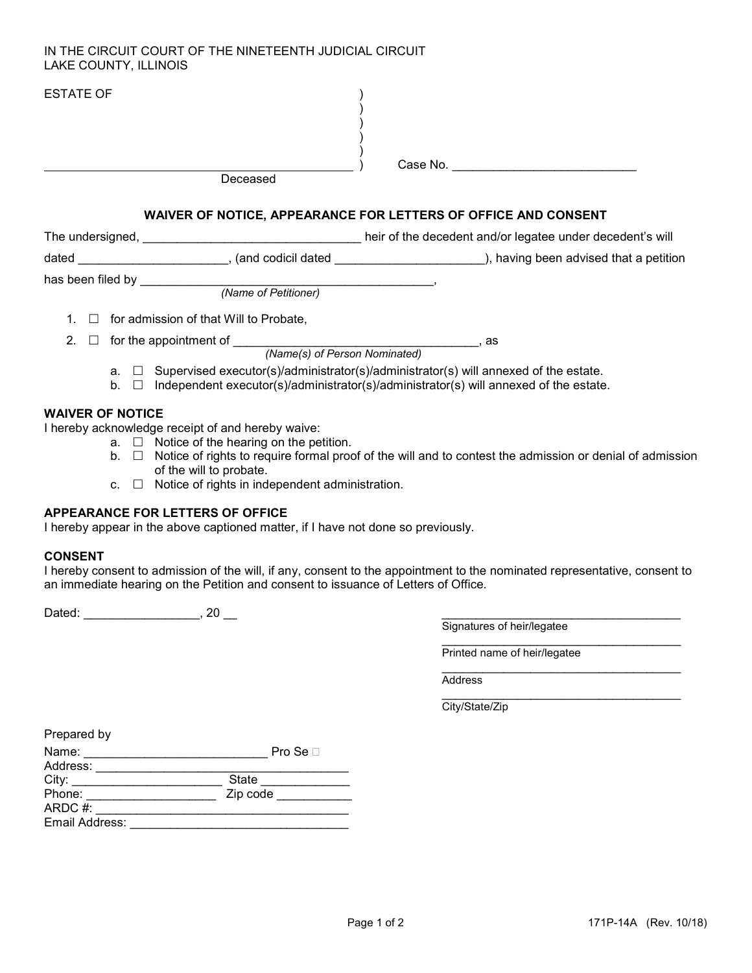#### IN THE CIRCUIT COURT OF THE NINETEENTH JUDICIAL CIRCUIT LAKE COUNTY, ILLINOIS

| <b>ESTATE OF</b> |                          | Deceased                                                                                                                                                                                |                                                                                                                |  |
|------------------|--------------------------|-----------------------------------------------------------------------------------------------------------------------------------------------------------------------------------------|----------------------------------------------------------------------------------------------------------------|--|
|                  |                          | WAIVER OF NOTICE, APPEARANCE FOR LETTERS OF OFFICE AND CONSENT                                                                                                                          |                                                                                                                |  |
|                  |                          | The undersigned, The understand is will be a set of the decedent and/or legatee under decedent's will                                                                                   |                                                                                                                |  |
|                  |                          | dated ___________________________, (and codicil dated __________________________), having been advised that a petition                                                                  |                                                                                                                |  |
|                  |                          | (Name of Petitioner)                                                                                                                                                                    |                                                                                                                |  |
|                  |                          | $\Box$ for admission of that Will to Probate,                                                                                                                                           |                                                                                                                |  |
| $\Box$           |                          | for the appointment of <b>Exercise 2008</b> For the appointment of<br>(Name(s) of Person Nominated)                                                                                     | as as a contractor and a series and a series and a series of the series of the series of the series of the ser |  |
|                  | b <sub>1</sub><br>$\Box$ | $a. \Box$ Supervised executor(s)/administrator(s)/administrator(s) will annexed of the estate.<br>Independent executor(s)/administrator(s)/administrator(s) will annexed of the estate. |                                                                                                                |  |

### WAIVER OF NOTICE

I hereby acknowledge receipt of and hereby waive:

- $a. \Box$  Notice of the hearing on the petition.
- b.  $\Box$  Notice of rights to require formal proof of the will and to contest the admission or denial of admission of the will to probate.
- c.  $\Box$  Notice of rights in independent administration.

#### APPEARANCE FOR LETTERS OF OFFICE

I hereby appear in the above captioned matter, if I have not done so previously.

#### CONSENT

I hereby consent to admission of the will, if any, consent to the appointment to the nominated representative, consent to an immediate hearing on the Petition and consent to issuance of Letters of Office.

 $\_$ 

 $\_$ 

Dated: \_\_\_\_\_\_\_\_\_\_\_\_\_\_\_\_\_\_\_\_\_\_\_\_, 20 \_\_\_

Signatures of heir/legatee

Printed name of heir/legatee

**Address** 

City/State/Zip

| Prepared by    |                 |  |
|----------------|-----------------|--|
| Name:          | Pro Se $\sqcap$ |  |
| Address:       |                 |  |
| City:          | <b>State</b>    |  |
| Phone:         | Zip code        |  |
| ARDC #:        |                 |  |
| Email Address: |                 |  |
|                |                 |  |